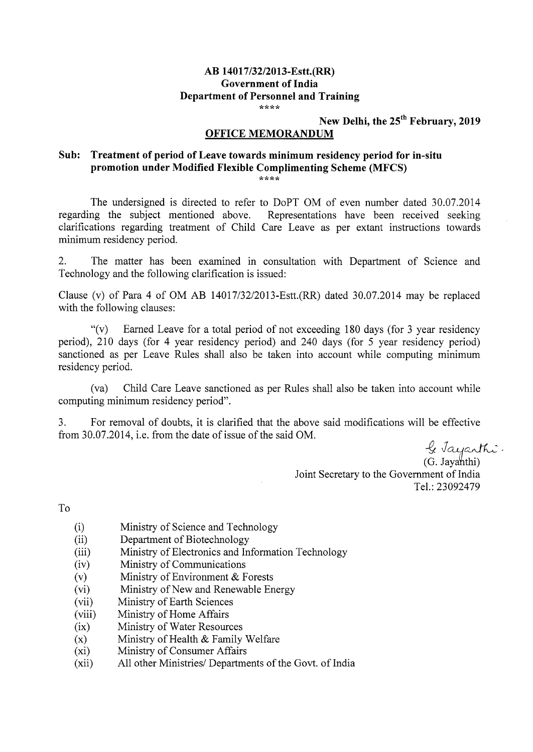## **AB 14017/32/2013-Estt.(RR) Government of India Department of Personnel and Training**

New Delhi, the  $25<sup>th</sup>$  February, 2019

## **OFFICE MEMORANDUM**

## **Sub: Treatment of period of Leave towards minimum residency period for in-situ promotion under Modified Flexible Complimenting Scheme (MFCS)**

The undersigned is directed to refer to DoPT OM of even number dated 30.07.2014 regarding the subject mentioned above. Representations have been received seeking Representations have been received seeking. clarifications regarding treatment of Child Care Leave as per extant instructions towards minimum residency period.

2. The matter has been examined in consultation with Department of Science and Technology and the following clarification is issued:

Clause (v) of Para 4 of OM AB  $14017/32/2013$ -Estt.(RR) dated 30.07.2014 may be replaced with the following clauses:

"(v) Earned Leave for a total period of not exceeding 180 days (for 3 year residency period), 210 days (for 4 year residency period) and 240 days (for *5* year residency period) sanctioned as per Leave Rules shall also be taken into account while computing minimum residency period.

(va) Child Care Leave sanctioned as per Rules shall also be taken into account while computing minimum residency period".

3. For removal of doubts, it is clarified that the above said modifications will be effective from 30.07.20 14, i.e. from the date of issue of the said OM.

 $\frac{Q}{a}$ 

(G. Jayahthi) Joint Secretary to the Government of India Tel.: 23092479

To

- (i) Ministry of Science and Technology
- (ii) Department of Biotechnology
- (iii) Ministry of Electronics and Information Technology
- (iv) Ministry of Communications
- (v) Ministry of Environment & Forests
- (vi) Ministry of New and Renewable Energy
- (vii) Ministry of Earth Sciences
- (viii) Ministry of Home Affairs
- (ix) Ministry of Water Resources
- (x) Ministry of Health  $&$  Family Welfare
- (xi) Ministry of Consumer Affairs
- (xii) All other Ministries/ Departments of the Govt. of India